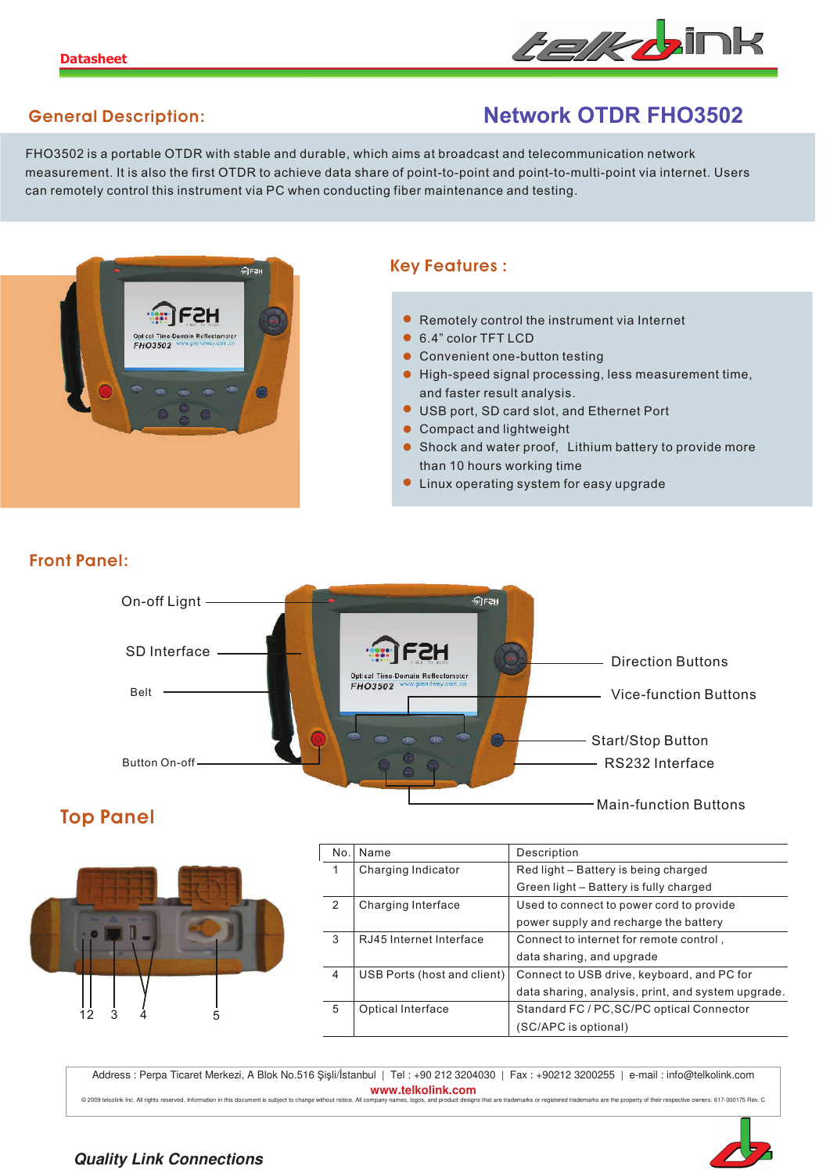

## **General Description:**

# **Network OTDR FHO3502**

FHO3502 is a portable OTDR with stable and durable, which aims at broadcast and telecommunication network measurement. It is also the first OTDR to achieve data share of point-to-point and point-to-multi-point via internet. Users can remotely control this instrument via PC when conducting fiber maintenance and testing.



### **Key Features :**

- **•** Remotely control the instrument via Internet
- 6.4" color TFT LCD **•**
- Convenient one-button testing **•**
- High-speed signal processing, less measurement time, **•** and faster result analysis.
- USB port, SD card slot, and Ethernet Port **•**
- Compact and lightweight
- Shock and water proof, Lithium battery to provide more than 10 hours working time
- Linux operating system for easy upgrade **•**



**Front Panel:**



| No. | Name                        | Description                                        |
|-----|-----------------------------|----------------------------------------------------|
| 1   | Charging Indicator          | Red light - Battery is being charged               |
|     |                             | Green light - Battery is fully charged             |
| 2   | Charging Interface          | Used to connect to power cord to provide           |
|     |                             | power supply and recharge the battery              |
| 3   | RJ45 Internet Interface     | Connect to internet for remote control,            |
|     |                             | data sharing, and upgrade                          |
| 4   | USB Ports (host and client) | Connect to USB drive, keyboard, and PC for         |
|     |                             | data sharing, analysis, print, and system upgrade. |
| 5   | Optical Interface           | Standard FC / PC, SC/PC optical Connector          |
|     |                             | (SC/APC is optional)                               |

Address : Perpa Ticaret Merkezi, A Blok No.516 Şişli/İstanbul | Tel : +90 212 3204030 | Fax : +90212 3200255 | e-mail : info@telkolink.com **www.telkolink.com**<br>pmpany names, logos, and product designs that are trademarks or registered trademarks are the property of their respective owners. 617-000175 Rev. C

O 2009 telcolink Inc. All rights reserved. Information in this document is subject to change without notice. All company names, logos, and production in this document is subject to change without notice. All company names,



#### **Quality Link Connections**